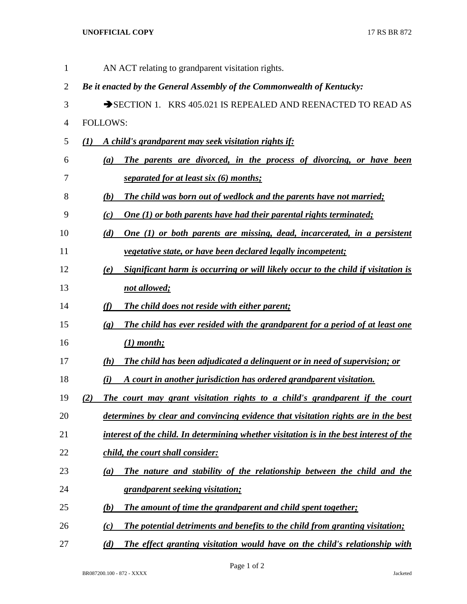## **UNOFFICIAL COPY** 17 RS BR 872

| $\mathbf{1}$   | AN ACT relating to grandparent visitation rights.                                                           |
|----------------|-------------------------------------------------------------------------------------------------------------|
| $\overline{2}$ | Be it enacted by the General Assembly of the Commonwealth of Kentucky:                                      |
| 3              | $\rightarrow$ SECTION 1. KRS 405.021 IS REPEALED AND REENACTED TO READ AS                                   |
| 4              | <b>FOLLOWS:</b>                                                                                             |
| 5              | A child's grandparent may seek visitation rights if:<br>(1)                                                 |
| 6              | The parents are divorced, in the process of divorcing, or have been<br>(a)                                  |
| 7              | separated for at least six (6) months;                                                                      |
| 8              | The child was born out of wedlock and the parents have not married;<br>(b)                                  |
| 9              | <b>One (1) or both parents have had their parental rights terminated;</b><br>(c)                            |
| 10             | One (1) or both parents are missing, dead, incarcerated, in a persistent<br>(d)                             |
| 11             | <i>vegetative state, or have been declared legally incompetent;</i>                                         |
| 12             | Significant harm is occurring or will likely occur to the child if visitation is<br>(e)                     |
| 13             | not allowed;                                                                                                |
| 14             | (f)<br><b>The child does not reside with either parent;</b>                                                 |
| 15             | The child has ever resided with the grandparent for a period of at least one<br>$\left( \mathbf{g} \right)$ |
| 16             | $(1)$ month;                                                                                                |
| 17             | The child has been adjudicated a delinguent or in need of supervision; or<br>(h)                            |
| 18             | A court in another jurisdiction has ordered grandparent visitation.<br>(i)                                  |
| 19             | The court may grant visitation rights to a child's grandparent if the court<br>(2)                          |
| 20             | determines by clear and convincing evidence that visitation rights are in the best                          |
| 21             | interest of the child. In determining whether visitation is in the best interest of the                     |
| 22             | child, the court shall consider:                                                                            |
| 23             | The nature and stability of the relationship between the child and the<br>(a)                               |
| 24             | grandparent seeking visitation;                                                                             |
| 25             | The amount of time the grandparent and child spent together;<br>(b)                                         |
| 26             | The potential detriments and benefits to the child from granting visitation;<br>(c)                         |
| 27             | (d)<br>The effect granting visitation would have on the child's relationship with                           |